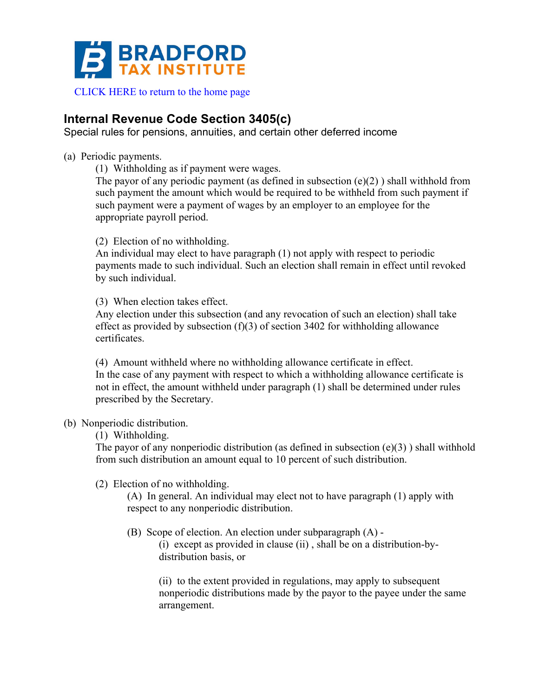

## **Internal Revenue Code Section 3405(c)**

Special rules for pensions, annuities, and certain other deferred income

- (a) Periodic payments.
	- (1) Withholding as if payment were wages.

The payor of any periodic payment (as defined in subsection (e)(2) ) shall withhold from such payment the amount which would be required to be withheld from such payment if such payment were a payment of wages by an employer to an employee for the appropriate payroll period.

(2) Election of no withholding.

An individual may elect to have paragraph (1) not apply with respect to periodic payments made to such individual. Such an election shall remain in effect until revoked by such individual.

(3) When election takes effect.

Any election under this subsection (and any revocation of such an election) shall take effect as provided by subsection  $(f)(3)$  of section 3402 for withholding allowance certificates.

(4) Amount withheld where no withholding allowance certificate in effect. In the case of any payment with respect to which a withholding allowance certificate is not in effect, the amount withheld under paragraph (1) shall be determined under rules prescribed by the Secretary.

## (b) Nonperiodic distribution.

(1) Withholding.

The payor of any nonperiodic distribution (as defined in subsection  $(e)(3)$ ) shall withhold from such distribution an amount equal to 10 percent of such distribution.

(2) Election of no withholding.

(A) In general. An individual may elect not to have paragraph (1) apply with respect to any nonperiodic distribution.

(B) Scope of election. An election under subparagraph (A) -

(i) except as provided in clause (ii) , shall be on a distribution-bydistribution basis, or

(ii) to the extent provided in regulations, may apply to subsequent nonperiodic distributions made by the payor to the payee under the same arrangement.